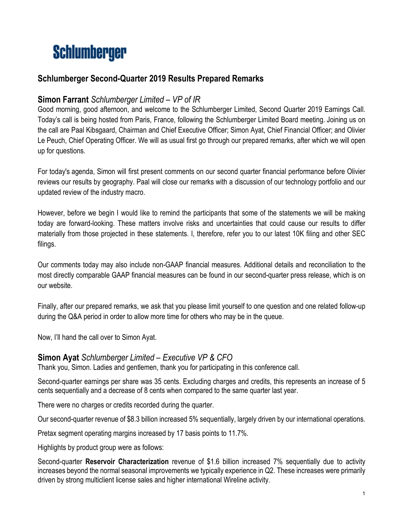# **Schlumberger**

# **Schlumberger Second-Quarter 2019 Results Prepared Remarks**

### **Simon Farrant** *Schlumberger Limited – VP of IR*

Good morning, good afternoon, and welcome to the Schlumberger Limited, Second Quarter 2019 Earnings Call. Today's call is being hosted from Paris, France, following the Schlumberger Limited Board meeting. Joining us on the call are Paal Kibsgaard, Chairman and Chief Executive Officer; Simon Ayat, Chief Financial Officer; and Olivier Le Peuch, Chief Operating Officer. We will as usual first go through our prepared remarks, after which we will open up for questions.

For today's agenda, Simon will first present comments on our second quarter financial performance before Olivier reviews our results by geography. Paal will close our remarks with a discussion of our technology portfolio and our updated review of the industry macro.

However, before we begin I would like to remind the participants that some of the statements we will be making today are forward-looking. These matters involve risks and uncertainties that could cause our results to differ materially from those projected in these statements. I, therefore, refer you to our latest 10K filing and other SEC filings.

Our comments today may also include non-GAAP financial measures. Additional details and reconciliation to the most directly comparable GAAP financial measures can be found in our second-quarter press release, which is on our website.

Finally, after our prepared remarks, we ask that you please limit yourself to one question and one related follow-up during the Q&A period in order to allow more time for others who may be in the queue.

Now, I'll hand the call over to Simon Ayat.

## **Simon Ayat** *Schlumberger Limited – Executive VP & CFO*

Thank you, Simon. Ladies and gentlemen, thank you for participating in this conference call.

Second-quarter earnings per share was 35 cents. Excluding charges and credits, this represents an increase of 5 cents sequentially and a decrease of 8 cents when compared to the same quarter last year.

There were no charges or credits recorded during the quarter.

Our second-quarter revenue of \$8.3 billion increased 5% sequentially, largely driven by our international operations.

Pretax segment operating margins increased by 17 basis points to 11.7%.

Highlights by product group were as follows:

Second-quarter **Reservoir Characterization** revenue of \$1.6 billion increased 7% sequentially due to activity increases beyond the normal seasonal improvements we typically experience in Q2. These increases were primarily driven by strong multiclient license sales and higher international Wireline activity.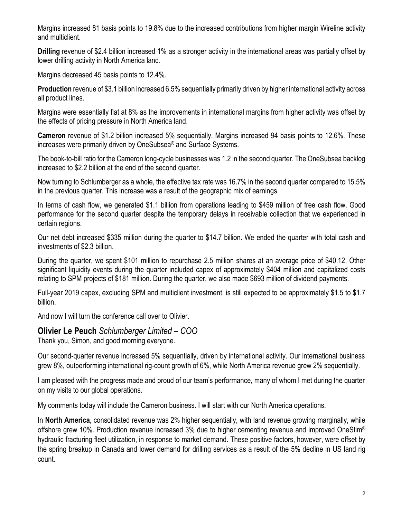Margins increased 81 basis points to 19.8% due to the increased contributions from higher margin Wireline activity and multiclient.

**Drilling** revenue of \$2.4 billion increased 1% as a stronger activity in the international areas was partially offset by lower drilling activity in North America land.

Margins decreased 45 basis points to 12.4%.

**Production** revenue of \$3.1 billion increased 6.5% sequentially primarily driven by higher international activity across all product lines.

Margins were essentially flat at 8% as the improvements in international margins from higher activity was offset by the effects of pricing pressure in North America land.

**Cameron** revenue of \$1.2 billion increased 5% sequentially. Margins increased 94 basis points to 12.6%. These increases were primarily driven by OneSubsea® and Surface Systems.

The book-to-bill ratio for the Cameron long-cycle businesses was 1.2 in the second quarter. The OneSubsea backlog increased to \$2.2 billion at the end of the second quarter.

Now turning to Schlumberger as a whole, the effective tax rate was 16.7% in the second quarter compared to 15.5% in the previous quarter. This increase was a result of the geographic mix of earnings.

In terms of cash flow, we generated \$1.1 billion from operations leading to \$459 million of free cash flow. Good performance for the second quarter despite the temporary delays in receivable collection that we experienced in certain regions.

Our net debt increased \$335 million during the quarter to \$14.7 billion. We ended the quarter with total cash and investments of \$2.3 billion.

During the quarter, we spent \$101 million to repurchase 2.5 million shares at an average price of \$40.12. Other significant liquidity events during the quarter included capex of approximately \$404 million and capitalized costs relating to SPM projects of \$181 million. During the quarter, we also made \$693 million of dividend payments.

Full-year 2019 capex, excluding SPM and multiclient investment, is still expected to be approximately \$1.5 to \$1.7 billion.

And now I will turn the conference call over to Olivier.

**Olivier Le Peuch** *Schlumberger Limited – COO*

Thank you, Simon, and good morning everyone.

Our second-quarter revenue increased 5% sequentially, driven by international activity. Our international business grew 8%, outperforming international rig-count growth of 6%, while North America revenue grew 2% sequentially.

I am pleased with the progress made and proud of our team's performance, many of whom I met during the quarter on my visits to our global operations.

My comments today will include the Cameron business. I will start with our North America operations.

In **North America**, consolidated revenue was 2% higher sequentially, with land revenue growing marginally, while offshore grew 10%. Production revenue increased 3% due to higher cementing revenue and improved OneStim® hydraulic fracturing fleet utilization, in response to market demand. These positive factors, however, were offset by the spring breakup in Canada and lower demand for drilling services as a result of the 5% decline in US land rig count.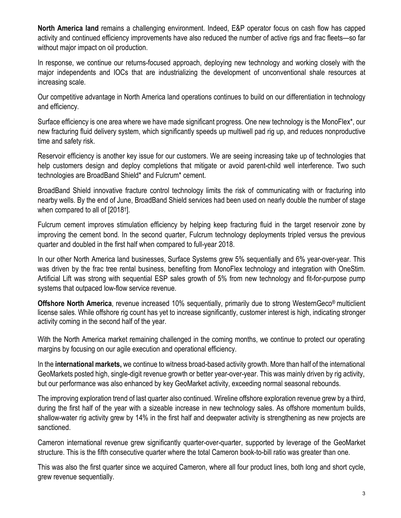**North America land** remains a challenging environment. Indeed, E&P operator focus on cash flow has capped activity and continued efficiency improvements have also reduced the number of active rigs and frac fleets—so far without major impact on oil production.

In response, we continue our returns-focused approach, deploying new technology and working closely with the major independents and IOCs that are industrializing the development of unconventional shale resources at increasing scale.

Our competitive advantage in North America land operations continues to build on our differentiation in technology and efficiency.

Surface efficiency is one area where we have made significant progress. One new technology is the MonoFlex\*, our new fracturing fluid delivery system, which significantly speeds up multiwell pad rig up, and reduces nonproductive time and safety risk.

Reservoir efficiency is another key issue for our customers. We are seeing increasing take up of technologies that help customers design and deploy completions that mitigate or avoid parent-child well interference. Two such technologies are BroadBand Shield\* and Fulcrum\* cement.

BroadBand Shield innovative fracture control technology limits the risk of communicating with or fracturing into nearby wells. By the end of June, BroadBand Shield services had been used on nearly double the number of stage when compared to all of [2018†].

Fulcrum cement improves stimulation efficiency by helping keep fracturing fluid in the target reservoir zone by improving the cement bond. In the second quarter, Fulcrum technology deployments tripled versus the previous quarter and doubled in the first half when compared to full-year 2018.

In our other North America land businesses, Surface Systems grew 5% sequentially and 6% year-over-year. This was driven by the frac tree rental business, benefiting from MonoFlex technology and integration with OneStim. Artificial Lift was strong with sequential ESP sales growth of 5% from new technology and fit-for-purpose pump systems that outpaced low-flow service revenue.

**Offshore North America**, revenue increased 10% sequentially, primarily due to strong WesternGeco® multiclient license sales. While offshore rig count has yet to increase significantly, customer interest is high, indicating stronger activity coming in the second half of the year.

With the North America market remaining challenged in the coming months, we continue to protect our operating margins by focusing on our agile execution and operational efficiency.

In the **international markets,** we continue to witness broad-based activity growth. More than half of the international GeoMarkets posted high, single-digit revenue growth or better year-over-year. This was mainly driven by rig activity, but our performance was also enhanced by key GeoMarket activity, exceeding normal seasonal rebounds.

The improving exploration trend of last quarter also continued. Wireline offshore exploration revenue grew by a third, during the first half of the year with a sizeable increase in new technology sales. As offshore momentum builds, shallow-water rig activity grew by 14% in the first half and deepwater activity is strengthening as new projects are sanctioned.

Cameron international revenue grew significantly quarter-over-quarter, supported by leverage of the GeoMarket structure. This is the fifth consecutive quarter where the total Cameron book-to-bill ratio was greater than one.

This was also the first quarter since we acquired Cameron, where all four product lines, both long and short cycle, grew revenue sequentially.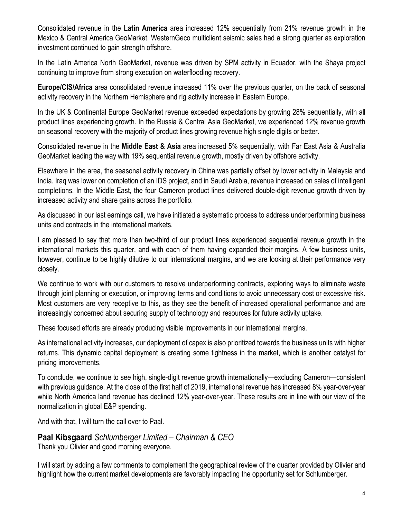Consolidated revenue in the **Latin America** area increased 12% sequentially from 21% revenue growth in the Mexico & Central America GeoMarket. WesternGeco multiclient seismic sales had a strong quarter as exploration investment continued to gain strength offshore.

In the Latin America North GeoMarket, revenue was driven by SPM activity in Ecuador, with the Shaya project continuing to improve from strong execution on waterflooding recovery.

**Europe/CIS/Africa** area consolidated revenue increased 11% over the previous quarter, on the back of seasonal activity recovery in the Northern Hemisphere and rig activity increase in Eastern Europe.

In the UK & Continental Europe GeoMarket revenue exceeded expectations by growing 28% sequentially, with all product lines experiencing growth. In the Russia & Central Asia GeoMarket, we experienced 12% revenue growth on seasonal recovery with the majority of product lines growing revenue high single digits or better.

Consolidated revenue in the **Middle East & Asia** area increased 5% sequentially, with Far East Asia & Australia GeoMarket leading the way with 19% sequential revenue growth, mostly driven by offshore activity.

Elsewhere in the area, the seasonal activity recovery in China was partially offset by lower activity in Malaysia and India. Iraq was lower on completion of an IDS project, and in Saudi Arabia, revenue increased on sales of intelligent completions. In the Middle East, the four Cameron product lines delivered double-digit revenue growth driven by increased activity and share gains across the portfolio.

As discussed in our last earnings call, we have initiated a systematic process to address underperforming business units and contracts in the international markets.

I am pleased to say that more than two-third of our product lines experienced sequential revenue growth in the international markets this quarter, and with each of them having expanded their margins. A few business units, however, continue to be highly dilutive to our international margins, and we are looking at their performance very closely.

We continue to work with our customers to resolve underperforming contracts, exploring ways to eliminate waste through joint planning or execution, or improving terms and conditions to avoid unnecessary cost or excessive risk. Most customers are very receptive to this, as they see the benefit of increased operational performance and are increasingly concerned about securing supply of technology and resources for future activity uptake.

These focused efforts are already producing visible improvements in our international margins.

As international activity increases, our deployment of capex is also prioritized towards the business units with higher returns. This dynamic capital deployment is creating some tightness in the market, which is another catalyst for pricing improvements.

To conclude, we continue to see high, single-digit revenue growth internationally—excluding Cameron—consistent with previous guidance. At the close of the first half of 2019, international revenue has increased 8% year-over-year while North America land revenue has declined 12% year-over-year. These results are in line with our view of the normalization in global E&P spending.

And with that, I will turn the call over to Paal.

#### **Paal Kibsgaard** *Schlumberger Limited – Chairman & CEO* Thank you Olivier and good morning everyone.

I will start by adding a few comments to complement the geographical review of the quarter provided by Olivier and highlight how the current market developments are favorably impacting the opportunity set for Schlumberger.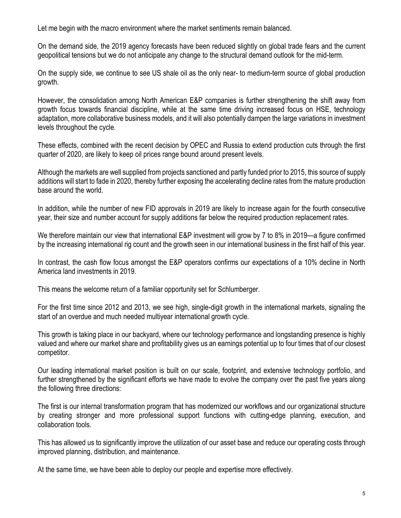Let me begin with the macro environment where the market sentiments remain balanced.

On the demand side, the 2019 agency forecasts have been reduced slightly on global trade fears and the current geopolitical tensions but we do not anticipate any change to the structural demand outlook for the mid-term.

On the supply side, we continue to see US shale oil as the only near- to medium-term source of global production growth.

However, the consolidation among North American E&P companies is further strengthening the shift away from growth focus towards financial discipline, while at the same time driving increased focus on HSE, technology adaptation, more collaborative business models, and it will also potentially dampen the large variations in investment levels throughout the cycle.

These effects, combined with the recent decision by OPEC and Russia to extend production cuts through the first quarter of 2020, are likely to keep oil prices range bound around present levels.

Although the markets are well supplied from projects sanctioned and partly funded prior to 2015, this source of supply additions will start to fade in 2020, thereby further exposing the accelerating decline rates from the mature production base around the world.

In addition, while the number of new FID approvals in 2019 are likely to increase again for the fourth consecutive year, their size and number account for supply additions far below the required production replacement rates.

We therefore maintain our view that international E&P investment will grow by 7 to 8% in 2019—a figure confirmed by the increasing international rig count and the growth seen in our international business in the first half of this year.

In contrast, the cash flow focus amongst the E&P operators confirms our expectations of a 10% decline in North America land investments in 2019.

This means the welcome return of a familiar opportunity set for Schlumberger.

For the first time since 2012 and 2013, we see high, single-digit growth in the international markets, signaling the start of an overdue and much needed multiyear international growth cycle.

This growth is taking place in our backyard, where our technology performance and longstanding presence is highly valued and where our market share and profitability gives us an earnings potential up to four times that of our closest competitor.

Our leading international market position is built on our scale, footprint, and extensive technology portfolio, and further strengthened by the significant efforts we have made to evolve the company over the past five years along the following three directions:

The first is our internal transformation program that has modernized our workflows and our organizational structure by creating stronger and more professional support functions with cutting-edge planning, execution, and collaboration tools.

This has allowed us to significantly improve the utilization of our asset base and reduce our operating costs through improved planning, distribution, and maintenance.

At the same time, we have been able to deploy our people and expertise more effectively.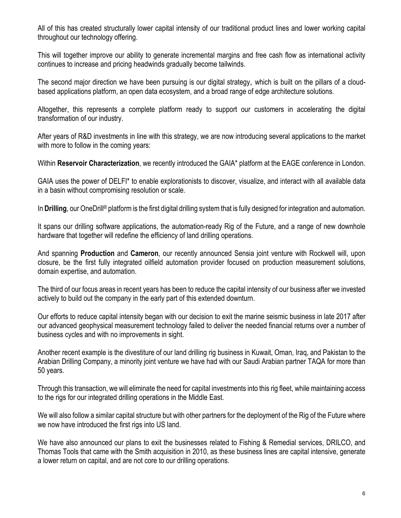All of this has created structurally lower capital intensity of our traditional product lines and lower working capital throughout our technology offering.

This will together improve our ability to generate incremental margins and free cash flow as international activity continues to increase and pricing headwinds gradually become tailwinds.

The second major direction we have been pursuing is our digital strategy, which is built on the pillars of a cloudbased applications platform, an open data ecosystem, and a broad range of edge architecture solutions.

Altogether, this represents a complete platform ready to support our customers in accelerating the digital transformation of our industry.

After years of R&D investments in line with this strategy, we are now introducing several applications to the market with more to follow in the coming years:

Within **Reservoir Characterization**, we recently introduced the GAIA\* platform at the EAGE conference in London.

GAIA uses the power of DELFI\* to enable explorationists to discover, visualize, and interact with all available data in a basin without compromising resolution or scale.

In **Drilling**, our OneDrill<sup>®</sup> platform is the first digital drilling system that is fully designed for integration and automation.

It spans our drilling software applications, the automation-ready Rig of the Future, and a range of new downhole hardware that together will redefine the efficiency of land drilling operations.

And spanning **Production** and **Cameron**, our recently announced Sensia joint venture with Rockwell will, upon closure, be the first fully integrated oilfield automation provider focused on production measurement solutions, domain expertise, and automation.

The third of our focus areas in recent years has been to reduce the capital intensity of our business after we invested actively to build out the company in the early part of this extended downturn.

Our efforts to reduce capital intensity began with our decision to exit the marine seismic business in late 2017 after our advanced geophysical measurement technology failed to deliver the needed financial returns over a number of business cycles and with no improvements in sight.

Another recent example is the divestiture of our land drilling rig business in Kuwait, Oman, Iraq, and Pakistan to the Arabian Drilling Company, a minority joint venture we have had with our Saudi Arabian partner TAQA for more than 50 years.

Through this transaction, we will eliminate the need for capital investments into this rig fleet, while maintaining access to the rigs for our integrated drilling operations in the Middle East.

We will also follow a similar capital structure but with other partners for the deployment of the Rig of the Future where we now have introduced the first rigs into US land.

We have also announced our plans to exit the businesses related to Fishing & Remedial services, DRILCO, and Thomas Tools that came with the Smith acquisition in 2010, as these business lines are capital intensive, generate a lower return on capital, and are not core to our drilling operations.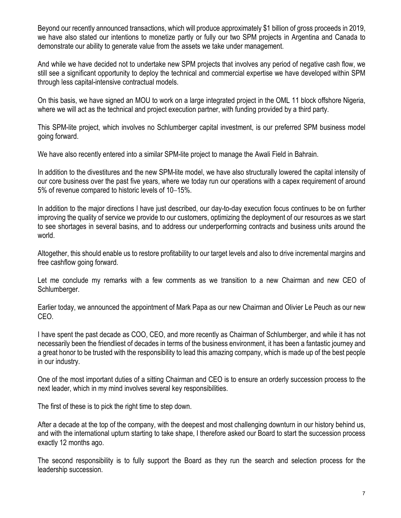Beyond our recently announced transactions, which will produce approximately \$1 billion of gross proceeds in 2019, we have also stated our intentions to monetize partly or fully our two SPM projects in Argentina and Canada to demonstrate our ability to generate value from the assets we take under management.

And while we have decided not to undertake new SPM projects that involves any period of negative cash flow, we still see a significant opportunity to deploy the technical and commercial expertise we have developed within SPM through less capital-intensive contractual models.

On this basis, we have signed an MOU to work on a large integrated project in the OML 11 block offshore Nigeria, where we will act as the technical and project execution partner, with funding provided by a third party.

This SPM-lite project, which involves no Schlumberger capital investment, is our preferred SPM business model going forward.

We have also recently entered into a similar SPM-lite project to manage the Awali Field in Bahrain.

In addition to the divestitures and the new SPM-lite model, we have also structurally lowered the capital intensity of our core business over the past five years, where we today run our operations with a capex requirement of around 5% of revenue compared to historic levels of 10–15%.

In addition to the major directions I have just described, our day-to-day execution focus continues to be on further improving the quality of service we provide to our customers, optimizing the deployment of our resources as we start to see shortages in several basins, and to address our underperforming contracts and business units around the world.

Altogether, this should enable us to restore profitability to our target levels and also to drive incremental margins and free cashflow going forward.

Let me conclude my remarks with a few comments as we transition to a new Chairman and new CEO of Schlumberger.

Earlier today, we announced the appointment of Mark Papa as our new Chairman and Olivier Le Peuch as our new CEO.

I have spent the past decade as COO, CEO, and more recently as Chairman of Schlumberger, and while it has not necessarily been the friendliest of decades in terms of the business environment, it has been a fantastic journey and a great honor to be trusted with the responsibility to lead this amazing company, which is made up of the best people in our industry.

One of the most important duties of a sitting Chairman and CEO is to ensure an orderly succession process to the next leader, which in my mind involves several key responsibilities.

The first of these is to pick the right time to step down.

After a decade at the top of the company, with the deepest and most challenging downturn in our history behind us, and with the international upturn starting to take shape, I therefore asked our Board to start the succession process exactly 12 months ago.

The second responsibility is to fully support the Board as they run the search and selection process for the leadership succession.